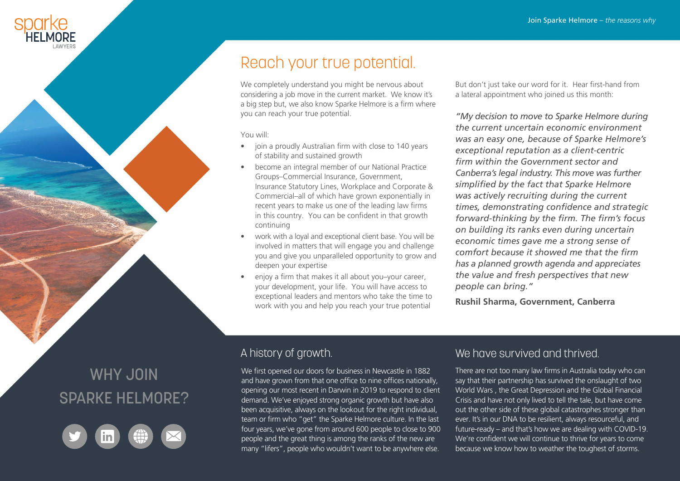## Reach your true potential.

We completely understand you might be nervous about considering a job move in the current market. We know it's a big step but, we also know Sparke Helmore is a firm where you can reach your true potential.

You will:

- join a proudly Australian firm with close to 140 years of stability and sustained growth
- become an integral member of our National Practice Groups–Commercial Insurance, Government, Insurance Statutory Lines, Workplace and Corporate & Commercial–all of which have grown exponentially in recent years to make us one of the leading law firms in this country. You can be confident in that growth continuing
- work with a loyal and exceptional client base. You will be involved in matters that will engage you and challenge you and give you unparalleled opportunity to grow and deepen your expertise
- enjoy a firm that makes it all about you–your career, your development, your life. You will have access to exceptional leaders and mentors who take the time to work with you and help you reach your true potential

But don't just take our word for it. Hear first-hand from a lateral appointment who joined us this month:

*"My decision to move to Sparke Helmore during the current uncertain economic environment was an easy one, because of Sparke Helmore's exceptional reputation as a client-centric firm within the Government sector and Canberra's legal industry. This move was further simplified by the fact that Sparke Helmore was actively recruiting during the current times, demonstrating confidence and strategic forward-thinking by the firm. The firm's focus on building its ranks even during uncertain economic times gave me a strong sense of comfort because it showed me that the firm has a planned growth agenda and appreciates the value and fresh perspectives that new people can bring."* 

**Rushil Sharma, Government, Canberra**

# WHY JOIN SPARKE HELMORE?



We first opened our doors for business in Newcastle in 1882 and have grown from that one office to nine offices nationally, opening our most recent in Darwin in 2019 to respond to client demand. We've enjoyed strong organic growth but have also been acquisitive, always on the lookout for the right individual, team or firm who "get" the Sparke Helmore culture. In the last four years, we've gone from around 600 people to close to 900 people and the great thing is among the ranks of the new are many "lifers", people who wouldn't want to be anywhere else.

### A history of growth. A history of growth.

There are not too many law firms in Australia today who can say that their partnership has survived the onslaught of two World Wars , the Great Depression and the Global Financial Crisis and have not only lived to tell the tale, but have come out the other side of these global catastrophes stronger than ever. It's in our DNA to be resilient, always resourceful, and future-ready – and that's how we are dealing with COVID-19. We're confident we will continue to thrive for years to come because we know how to weather the toughest of storms.